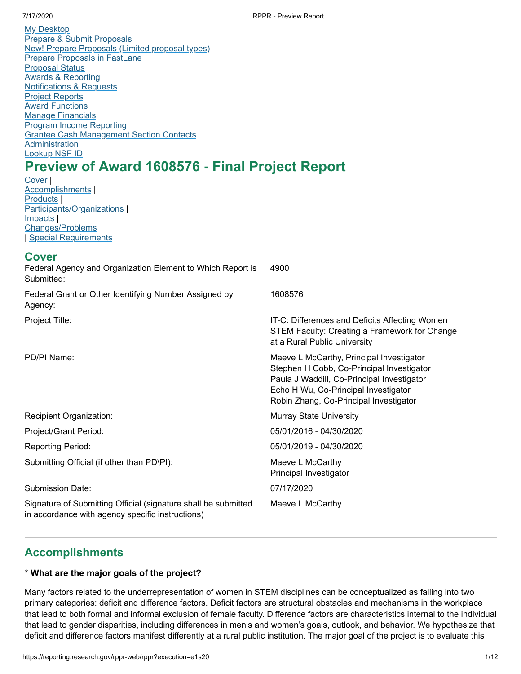My [Desktop](https://www.research.gov/research-web/homepage) Prepare & Submit Proposals New! Prepare [Proposals](https://www.research.gov/proposalprep/#/proposal-prep) (Limited proposal types) Prepare [Proposals](https://identity.research.gov/sso/idpssoinit?NameIDFormat=urn:oasis:names:tc:SAML:2.0:nameid-format:transient&metaAlias=/research/idp&spEntityID=https://www.research.gov/sso/sp&binding=urn:oasis:names:tc:SAML:2.0:bindings:HTTP-POST&RelayState=https%3A%2F%2Fwww.research.gov%2Fresearch-portal%2Fredirect.jsp%3FTARGET%3Dhttps%253A%252F%252Fwww.research.gov%252Fresearch-portal%252FFastLaneFormSubmit%253FfromWhichLogin%253DRGOVPILOGIN) in FastLane [Proposal](https://www.research.gov/gapps-web/gapps/searchResults) Status Awards & Reporting [Notifications](https://identity.research.gov/sso/idpssoinit?NameIDFormat=urn:oasis:names:tc:SAML:2.0:nameid-format:transient&metaAlias=/research/idp&spEntityID=https://webappexternal.research.gov/sso/sp&binding=urn:oasis:names:tc:SAML:2.0:bindings:HTTP-POST&RelayState=https://reporting.research.gov/pr/index.jsp?p=nr) & Requests Project [Reports](https://identity.research.gov/sso/idpssoinit?NameIDFormat=urn:oasis:names:tc:SAML:2.0:nameid-format:transient&metaAlias=/research/idp&spEntityID=https://webappexternal.research.gov/sso/sp&binding=urn:oasis:names:tc:SAML:2.0:bindings:HTTP-POST&RelayState=https://reporting.research.gov/rppr-web/?fc) **Award [Functions](https://identity.research.gov/sso/idpssoinit?NameIDFormat=urn:oasis:names:tc:SAML:2.0:nameid-format:transient&metaAlias=/research/idp&spEntityID=https://www.research.gov/sso/sp&binding=urn:oasis:names:tc:SAML:2.0:bindings:HTTP-POST&RelayState=https%3A%2F%2Fwww.research.gov%2Fresearch-portal%2Fredirect.jsp%3FTARGET%3Dhttps%253A%252F%252Fwww.research.gov%252Fresearch-portal%252FFastLaneFormSubmit%253FfromWhichLogin%253DRGOVPILOGIN) Manage Financials** Program Income [Reporting](https://identity.research.gov/sso/idpssoinit?NameIDFormat=urn:oasis:names:tc:SAML:2.0:nameid-format:transient&metaAlias=/research/idp&spEntityID=https://www.research.gov/sso/sp&binding=urn:oasis:names:tc:SAML:2.0:bindings:HTTP-POST&RelayState=https%3A%2F%2Fwww.research.gov%2Fresearch-portal%2Fredirect.jsp%3FTARGET%3Dhttps%253A%252F%252Fwww.research.gov%252Fresearch-portal%252Fappmanager%252Fbase%252Fdesktop%253F_nfpb%253Dtrue%2526_pageLabel%253DprogramIncome) Grantee Cash [Management](http://www.nsf.gov/bfa/dfm/cmeab.jsp) Section Contacts **Administration** [Lookup](https://www.fastlane.nsf.gov/researchadmin/nsfIdLookupRead.do) NSF ID

# **Preview of Award 1608576 - Final Project Report**

[Cover](#page-0-0) | [Accomplishments](#page-0-1) | [Products](#page-3-0) | [Participants/Organizations](#page-4-0) | [Impacts](#page-9-0) | [Changes/Problems](#page-11-0) | Special [Requirements](#page-11-1)

<span id="page-0-0"></span>

| <b>Cover</b><br>Federal Agency and Organization Element to Which Report is<br>Submitted:                           | 4900                                                                                                                                                                                                                  |
|--------------------------------------------------------------------------------------------------------------------|-----------------------------------------------------------------------------------------------------------------------------------------------------------------------------------------------------------------------|
| Federal Grant or Other Identifying Number Assigned by<br>Agency:                                                   | 1608576                                                                                                                                                                                                               |
| Project Title:                                                                                                     | IT-C: Differences and Deficits Affecting Women<br>STEM Faculty: Creating a Framework for Change<br>at a Rural Public University                                                                                       |
| PD/PI Name:                                                                                                        | Maeve L McCarthy, Principal Investigator<br>Stephen H Cobb, Co-Principal Investigator<br>Paula J Waddill, Co-Principal Investigator<br>Echo H Wu, Co-Principal Investigator<br>Robin Zhang, Co-Principal Investigator |
| Recipient Organization:                                                                                            | <b>Murray State University</b>                                                                                                                                                                                        |
| Project/Grant Period:                                                                                              | 05/01/2016 - 04/30/2020                                                                                                                                                                                               |
| Reporting Period:                                                                                                  | 05/01/2019 - 04/30/2020                                                                                                                                                                                               |
| Submitting Official (if other than PD\PI):                                                                         | Maeve L McCarthy<br>Principal Investigator                                                                                                                                                                            |
| Submission Date:                                                                                                   | 07/17/2020                                                                                                                                                                                                            |
| Signature of Submitting Official (signature shall be submitted<br>in accordance with agency specific instructions) | Maeve L McCarthy                                                                                                                                                                                                      |

# <span id="page-0-1"></span>**Accomplishments**

# **\* What are the major goals of the project?**

Many factors related to the underrepresentation of women in STEM disciplines can be conceptualized as falling into two primary categories: deficit and difference factors. Deficit factors are structural obstacles and mechanisms in the workplace that lead to both formal and informal exclusion of female faculty. Difference factors are characteristics internal to the individual that lead to gender disparities, including differences in men's and women's goals, outlook, and behavior. We hypothesize that deficit and difference factors manifest differently at a rural public institution. The major goal of the project is to evaluate this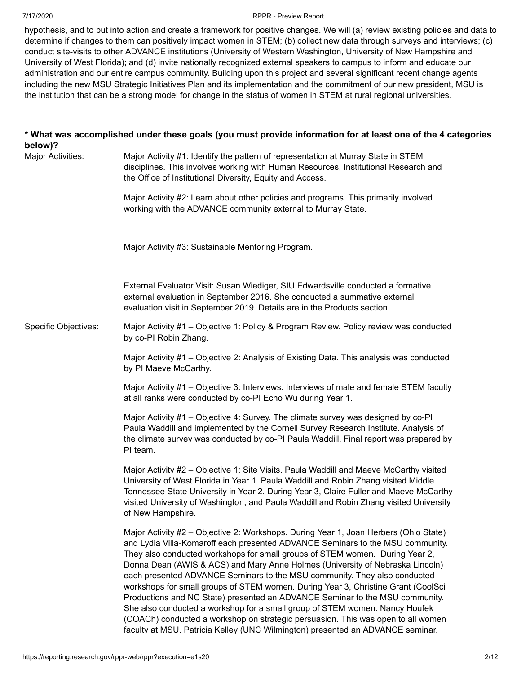hypothesis, and to put into action and create a framework for positive changes. We will (a) review existing policies and data to determine if changes to them can positively impact women in STEM; (b) collect new data through surveys and interviews; (c) conduct site-visits to other ADVANCE institutions (University of Western Washington, University of New Hampshire and University of West Florida); and (d) invite nationally recognized external speakers to campus to inform and educate our administration and our entire campus community. Building upon this project and several significant recent change agents including the new MSU Strategic Initiatives Plan and its implementation and the commitment of our new president, MSU is the institution that can be a strong model for change in the status of women in STEM at rural regional universities.

| below)?                     | * What was accomplished under these goals (you must provide information for at least one of the 4 categories                                                                                                                                                                                                                                                                                                                                                                                                                                                                                                                                                                                                                                                                                                                                   |
|-----------------------------|------------------------------------------------------------------------------------------------------------------------------------------------------------------------------------------------------------------------------------------------------------------------------------------------------------------------------------------------------------------------------------------------------------------------------------------------------------------------------------------------------------------------------------------------------------------------------------------------------------------------------------------------------------------------------------------------------------------------------------------------------------------------------------------------------------------------------------------------|
| Major Activities:           | Major Activity #1: Identify the pattern of representation at Murray State in STEM<br>disciplines. This involves working with Human Resources, Institutional Research and<br>the Office of Institutional Diversity, Equity and Access.                                                                                                                                                                                                                                                                                                                                                                                                                                                                                                                                                                                                          |
|                             | Major Activity #2: Learn about other policies and programs. This primarily involved<br>working with the ADVANCE community external to Murray State.                                                                                                                                                                                                                                                                                                                                                                                                                                                                                                                                                                                                                                                                                            |
|                             | Major Activity #3: Sustainable Mentoring Program.                                                                                                                                                                                                                                                                                                                                                                                                                                                                                                                                                                                                                                                                                                                                                                                              |
|                             | External Evaluator Visit: Susan Wiediger, SIU Edwardsville conducted a formative<br>external evaluation in September 2016. She conducted a summative external<br>evaluation visit in September 2019. Details are in the Products section.                                                                                                                                                                                                                                                                                                                                                                                                                                                                                                                                                                                                      |
| <b>Specific Objectives:</b> | Major Activity #1 - Objective 1: Policy & Program Review. Policy review was conducted<br>by co-PI Robin Zhang.                                                                                                                                                                                                                                                                                                                                                                                                                                                                                                                                                                                                                                                                                                                                 |
|                             | Major Activity #1 - Objective 2: Analysis of Existing Data. This analysis was conducted<br>by PI Maeve McCarthy.                                                                                                                                                                                                                                                                                                                                                                                                                                                                                                                                                                                                                                                                                                                               |
|                             | Major Activity #1 - Objective 3: Interviews. Interviews of male and female STEM faculty<br>at all ranks were conducted by co-PI Echo Wu during Year 1.                                                                                                                                                                                                                                                                                                                                                                                                                                                                                                                                                                                                                                                                                         |
|                             | Major Activity #1 – Objective 4: Survey. The climate survey was designed by co-Pl<br>Paula Waddill and implemented by the Cornell Survey Research Institute. Analysis of<br>the climate survey was conducted by co-PI Paula Waddill. Final report was prepared by<br>PI team.                                                                                                                                                                                                                                                                                                                                                                                                                                                                                                                                                                  |
|                             | Major Activity #2 – Objective 1: Site Visits. Paula Waddill and Maeve McCarthy visited<br>University of West Florida in Year 1. Paula Waddill and Robin Zhang visited Middle<br>Tennessee State University in Year 2. During Year 3, Claire Fuller and Maeve McCarthy<br>visited University of Washington, and Paula Waddill and Robin Zhang visited University<br>of New Hampshire.                                                                                                                                                                                                                                                                                                                                                                                                                                                           |
|                             | Major Activity #2 – Objective 2: Workshops. During Year 1, Joan Herbers (Ohio State)<br>and Lydia Villa-Komaroff each presented ADVANCE Seminars to the MSU community.<br>They also conducted workshops for small groups of STEM women. During Year 2,<br>Donna Dean (AWIS & ACS) and Mary Anne Holmes (University of Nebraska Lincoln)<br>each presented ADVANCE Seminars to the MSU community. They also conducted<br>workshops for small groups of STEM women. During Year 3, Christine Grant (CoolSci<br>Productions and NC State) presented an ADVANCE Seminar to the MSU community.<br>She also conducted a workshop for a small group of STEM women. Nancy Houfek<br>(COACh) conducted a workshop on strategic persuasion. This was open to all women<br>faculty at MSU. Patricia Kelley (UNC Wilmington) presented an ADVANCE seminar. |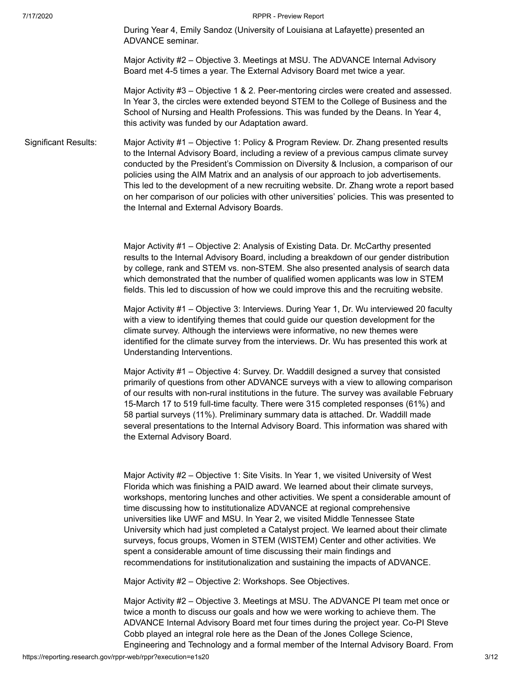During Year 4, Emily Sandoz (University of Louisiana at Lafayette) presented an ADVANCE seminar.

Major Activity #2 – Objective 3. Meetings at MSU. The ADVANCE Internal Advisory Board met 4-5 times a year. The External Advisory Board met twice a year.

Major Activity #3 – Objective 1 & 2. Peer-mentoring circles were created and assessed. In Year 3, the circles were extended beyond STEM to the College of Business and the School of Nursing and Health Professions. This was funded by the Deans. In Year 4, this activity was funded by our Adaptation award.

Significant Results: Major Activity #1 – Objective 1: Policy & Program Review. Dr. Zhang presented results to the Internal Advisory Board, including a review of a previous campus climate survey conducted by the President's Commission on Diversity & Inclusion, a comparison of our policies using the AIM Matrix and an analysis of our approach to job advertisements. This led to the development of a new recruiting website. Dr. Zhang wrote a report based on her comparison of our policies with other universities' policies. This was presented to the Internal and External Advisory Boards.

> Major Activity #1 – Objective 2: Analysis of Existing Data. Dr. McCarthy presented results to the Internal Advisory Board, including a breakdown of our gender distribution by college, rank and STEM vs. non-STEM. She also presented analysis of search data which demonstrated that the number of qualified women applicants was low in STEM fields. This led to discussion of how we could improve this and the recruiting website.

> Major Activity #1 – Objective 3: Interviews. During Year 1, Dr. Wu interviewed 20 faculty with a view to identifying themes that could guide our question development for the climate survey. Although the interviews were informative, no new themes were identified for the climate survey from the interviews. Dr. Wu has presented this work at Understanding Interventions.

> Major Activity #1 – Objective 4: Survey. Dr. Waddill designed a survey that consisted primarily of questions from other ADVANCE surveys with a view to allowing comparison of our results with non-rural institutions in the future. The survey was available February 15-March 17 to 519 full-time faculty. There were 315 completed responses (61%) and 58 partial surveys (11%). Preliminary summary data is attached. Dr. Waddill made several presentations to the Internal Advisory Board. This information was shared with the External Advisory Board.

> Major Activity #2 – Objective 1: Site Visits. In Year 1, we visited University of West Florida which was finishing a PAID award. We learned about their climate surveys, workshops, mentoring lunches and other activities. We spent a considerable amount of time discussing how to institutionalize ADVANCE at regional comprehensive universities like UWF and MSU. In Year 2, we visited Middle Tennessee State University which had just completed a Catalyst project. We learned about their climate surveys, focus groups, Women in STEM (WISTEM) Center and other activities. We spent a considerable amount of time discussing their main findings and recommendations for institutionalization and sustaining the impacts of ADVANCE.

Major Activity #2 – Objective 2: Workshops. See Objectives.

Major Activity #2 – Objective 3. Meetings at MSU. The ADVANCE PI team met once or twice a month to discuss our goals and how we were working to achieve them. The ADVANCE Internal Advisory Board met four times during the project year. Co-PI Steve Cobb played an integral role here as the Dean of the Jones College Science, Engineering and Technology and a formal member of the Internal Advisory Board. From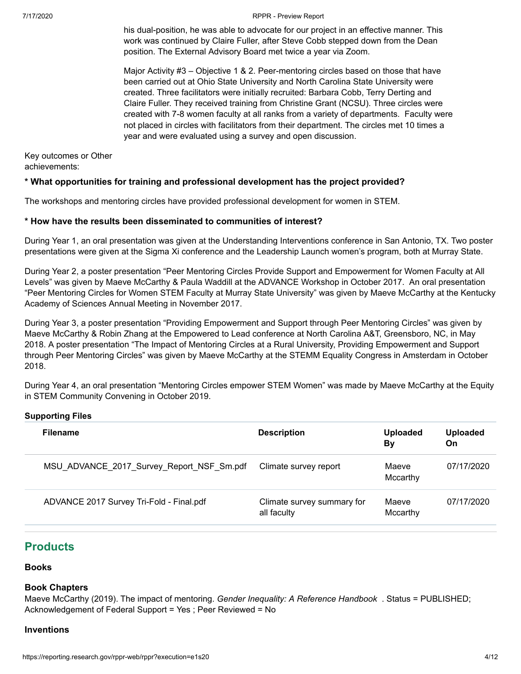his dual-position, he was able to advocate for our project in an effective manner. This work was continued by Claire Fuller, after Steve Cobb stepped down from the Dean position. The External Advisory Board met twice a year via Zoom.

Major Activity #3 – Objective 1 & 2. Peer-mentoring circles based on those that have been carried out at Ohio State University and North Carolina State University were created. Three facilitators were initially recruited: Barbara Cobb, Terry Derting and Claire Fuller. They received training from Christine Grant (NCSU). Three circles were created with 7-8 women faculty at all ranks from a variety of departments. Faculty were not placed in circles with facilitators from their department. The circles met 10 times a year and were evaluated using a survey and open discussion.

Key outcomes or Other achievements:

# **\* What opportunities for training and professional development has the project provided?**

The workshops and mentoring circles have provided professional development for women in STEM.

# **\* How have the results been disseminated to communities of interest?**

During Year 1, an oral presentation was given at the Understanding Interventions conference in San Antonio, TX. Two poster presentations were given at the Sigma Xi conference and the Leadership Launch women's program, both at Murray State.

During Year 2, a poster presentation "Peer Mentoring Circles Provide Support and Empowerment for Women Faculty at All Levels" was given by Maeve McCarthy & Paula Waddill at the ADVANCE Workshop in October 2017. An oral presentation "Peer Mentoring Circles for Women STEM Faculty at Murray State University" was given by Maeve McCarthy at the Kentucky Academy of Sciences Annual Meeting in November 2017.

During Year 3, a poster presentation "Providing Empowerment and Support through Peer Mentoring Circles" was given by Maeve McCarthy & Robin Zhang at the Empowered to Lead conference at North Carolina A&T, Greensboro, NC, in May 2018. A poster presentation "The Impact of Mentoring Circles at a Rural University, Providing Empowerment and Support through Peer Mentoring Circles" was given by Maeve McCarthy at the STEMM Equality Congress in Amsterdam in October 2018.

During Year 4, an oral presentation "Mentoring Circles empower STEM Women" was made by Maeve McCarthy at the Equity in STEM Community Convening in October 2019.

# **Supporting Files**

| <b>Filename</b>                           | <b>Description</b>                        | <b>Uploaded</b><br><b>By</b> | <b>Uploaded</b><br>On |
|-------------------------------------------|-------------------------------------------|------------------------------|-----------------------|
| MSU ADVANCE 2017 Survey Report NSF Sm.pdf | Climate survey report                     | Maeve<br>Mccarthy            | 07/17/2020            |
| ADVANCE 2017 Survey Tri-Fold - Final.pdf  | Climate survey summary for<br>all faculty | Maeve<br>Mccarthy            | 07/17/2020            |

# <span id="page-3-0"></span>**Products**

# **Books**

# **Book Chapters**

Maeve McCarthy (2019). The impact of mentoring. *Gender Inequality: A Reference Handbook* . Status = PUBLISHED; Acknowledgement of Federal Support = Yes ; Peer Reviewed = No

# **Inventions**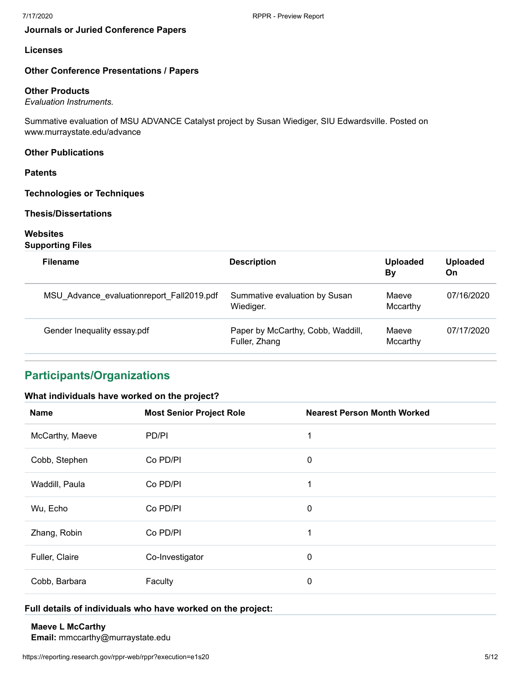# **Journals or Juried Conference Papers**

## **Licenses**

## **Other Conference Presentations / Papers**

## **Other Products**

*Evaluation Instruments.*

Summative evaluation of MSU ADVANCE Catalyst project by Susan Wiediger, SIU Edwardsville. Posted on www.murraystate.edu/advance

### **Other Publications**

# **Patents**

**Technologies or Techniques**

# **Thesis/Dissertations**

# **Websites**

**Supporting Files**

| <b>Filename</b>                           | <b>Description</b>                                 | <b>Uploaded</b><br>By | <b>Uploaded</b><br>On |
|-------------------------------------------|----------------------------------------------------|-----------------------|-----------------------|
| MSU Advance evaluationreport Fall2019.pdf | Summative evaluation by Susan<br>Wiediger.         | Maeve<br>Mccarthy     | 07/16/2020            |
| Gender Inequality essay.pdf               | Paper by McCarthy, Cobb, Waddill,<br>Fuller, Zhang | Maeve<br>Mccarthy     | 07/17/2020            |

# <span id="page-4-0"></span>**Participants/Organizations**

### **What individuals have worked on the project?**

| <b>Name</b>     | <b>Most Senior Project Role</b> | <b>Nearest Person Month Worked</b> |
|-----------------|---------------------------------|------------------------------------|
| McCarthy, Maeve | PD/PI                           | 1                                  |
| Cobb, Stephen   | Co PD/PI                        | 0                                  |
| Waddill, Paula  | Co PD/PI                        | 1                                  |
| Wu, Echo        | Co PD/PI                        | 0                                  |
| Zhang, Robin    | Co PD/PI                        | 1                                  |
| Fuller, Claire  | Co-Investigator                 | 0                                  |
| Cobb, Barbara   | Faculty                         | 0                                  |

# <span id="page-4-1"></span>**Full details of individuals who have worked on the project:**

### **Maeve L McCarthy**

**Email:** mmccarthy@murraystate.edu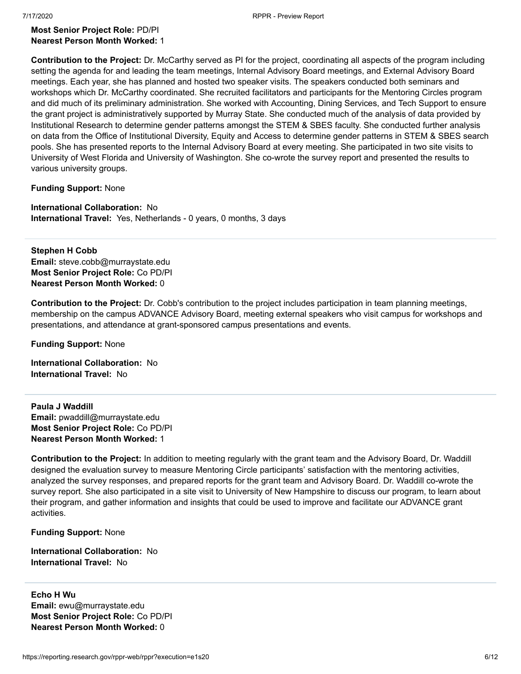### **Most Senior Project Role:** PD/PI **Nearest Person Month Worked:** 1

**Contribution to the Project:** Dr. McCarthy served as PI for the project, coordinating all aspects of the program including setting the agenda for and leading the team meetings, Internal Advisory Board meetings, and External Advisory Board meetings. Each year, she has planned and hosted two speaker visits. The speakers conducted both seminars and workshops which Dr. McCarthy coordinated. She recruited facilitators and participants for the Mentoring Circles program and did much of its preliminary administration. She worked with Accounting, Dining Services, and Tech Support to ensure the grant project is administratively supported by Murray State. She conducted much of the analysis of data provided by Institutional Research to determine gender patterns amongst the STEM & SBES faculty. She conducted further analysis on data from the Office of Institutional Diversity, Equity and Access to determine gender patterns in STEM & SBES search pools. She has presented reports to the Internal Advisory Board at every meeting. She participated in two site visits to University of West Florida and University of Washington. She co-wrote the survey report and presented the results to various university groups.

**Funding Support:** None

**International Collaboration:** No **International Travel:** Yes, Netherlands - 0 years, 0 months, 3 days

<span id="page-5-0"></span>**Stephen H Cobb Email:** steve.cobb@murraystate.edu **Most Senior Project Role:** Co PD/PI **Nearest Person Month Worked:** 0

**Contribution to the Project:** Dr. Cobb's contribution to the project includes participation in team planning meetings, membership on the campus ADVANCE Advisory Board, meeting external speakers who visit campus for workshops and presentations, and attendance at grant-sponsored campus presentations and events.

**Funding Support:** None

**International Collaboration:** No **International Travel:** No

<span id="page-5-1"></span>**Paula J Waddill Email:** pwaddill@murraystate.edu **Most Senior Project Role:** Co PD/PI **Nearest Person Month Worked:** 1

**Contribution to the Project:** In addition to meeting regularly with the grant team and the Advisory Board, Dr. Waddill designed the evaluation survey to measure Mentoring Circle participants' satisfaction with the mentoring activities, analyzed the survey responses, and prepared reports for the grant team and Advisory Board. Dr. Waddill co-wrote the survey report. She also participated in a site visit to University of New Hampshire to discuss our program, to learn about their program, and gather information and insights that could be used to improve and facilitate our ADVANCE grant activities.

**Funding Support:** None

**International Collaboration:** No **International Travel:** No

<span id="page-5-2"></span>**Echo H Wu Email:** ewu@murraystate.edu **Most Senior Project Role:** Co PD/PI **Nearest Person Month Worked:** 0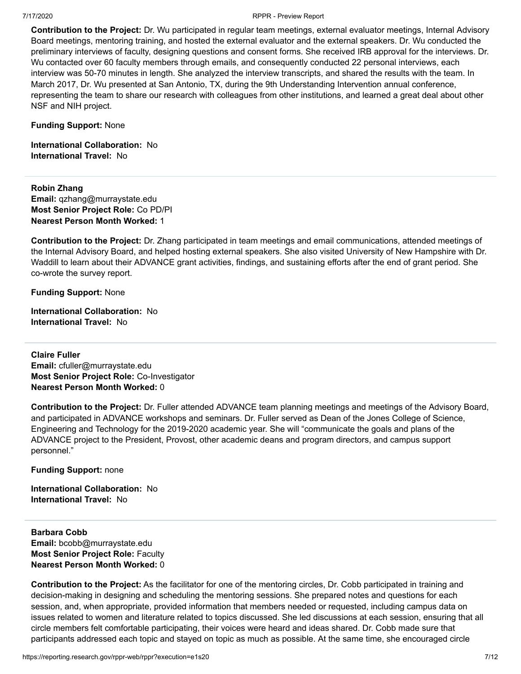**Contribution to the Project:** Dr. Wu participated in regular team meetings, external evaluator meetings, Internal Advisory Board meetings, mentoring training, and hosted the external evaluator and the external speakers. Dr. Wu conducted the preliminary interviews of faculty, designing questions and consent forms. She received IRB approval for the interviews. Dr. Wu contacted over 60 faculty members through emails, and consequently conducted 22 personal interviews, each interview was 50-70 minutes in length. She analyzed the interview transcripts, and shared the results with the team. In March 2017, Dr. Wu presented at San Antonio, TX, during the 9th Understanding Intervention annual conference, representing the team to share our research with colleagues from other institutions, and learned a great deal about other NSF and NIH project.

**Funding Support:** None

**International Collaboration:** No **International Travel:** No

<span id="page-6-0"></span>**Robin Zhang Email:** qzhang@murraystate.edu **Most Senior Project Role:** Co PD/PI **Nearest Person Month Worked:** 1

**Contribution to the Project:** Dr. Zhang participated in team meetings and email communications, attended meetings of the Internal Advisory Board, and helped hosting external speakers. She also visited University of New Hampshire with Dr. Waddill to learn about their ADVANCE grant activities, findings, and sustaining efforts after the end of grant period. She co-wrote the survey report.

**Funding Support:** None

**International Collaboration:** No **International Travel:** No

<span id="page-6-1"></span>**Claire Fuller Email:** cfuller@murraystate.edu **Most Senior Project Role:** Co-Investigator **Nearest Person Month Worked:** 0

**Contribution to the Project:** Dr. Fuller attended ADVANCE team planning meetings and meetings of the Advisory Board, and participated in ADVANCE workshops and seminars. Dr. Fuller served as Dean of the Jones College of Science, Engineering and Technology for the 2019-2020 academic year. She will "communicate the goals and plans of the ADVANCE project to the President, Provost, other academic deans and program directors, and campus support personnel."

**Funding Support:** none

**International Collaboration:** No **International Travel:** No

<span id="page-6-2"></span>**Barbara Cobb Email:** bcobb@murraystate.edu **Most Senior Project Role:** Faculty **Nearest Person Month Worked:** 0

**Contribution to the Project:** As the facilitator for one of the mentoring circles, Dr. Cobb participated in training and decision-making in designing and scheduling the mentoring sessions. She prepared notes and questions for each session, and, when appropriate, provided information that members needed or requested, including campus data on issues related to women and literature related to topics discussed. She led discussions at each session, ensuring that all circle members felt comfortable participating, their voices were heard and ideas shared. Dr. Cobb made sure that participants addressed each topic and stayed on topic as much as possible. At the same time, she encouraged circle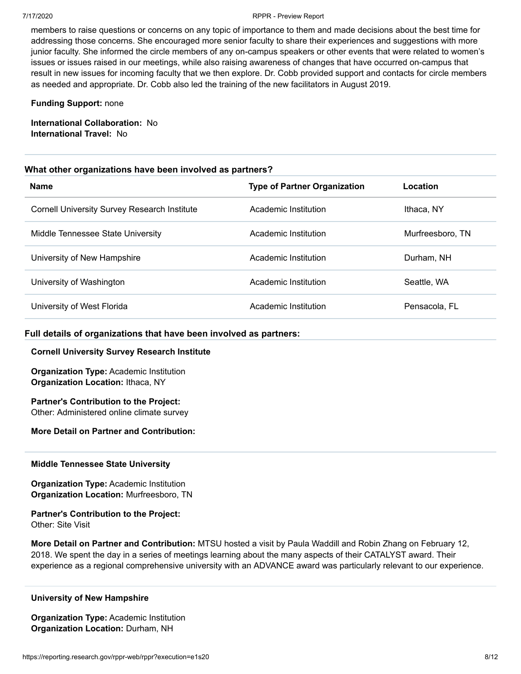members to raise questions or concerns on any topic of importance to them and made decisions about the best time for addressing those concerns. She encouraged more senior faculty to share their experiences and suggestions with more junior faculty. She informed the circle members of any on-campus speakers or other events that were related to women's issues or issues raised in our meetings, while also raising awareness of changes that have occurred on-campus that result in new issues for incoming faculty that we then explore. Dr. Cobb provided support and contacts for circle members as needed and appropriate. Dr. Cobb also led the training of the new facilitators in August 2019.

### **Funding Support:** none

**International Collaboration:** No **International Travel:** No

### **What other organizations have been involved as partners?**

| <b>Name</b>                                         | <b>Type of Partner Organization</b> | Location         |
|-----------------------------------------------------|-------------------------------------|------------------|
| <b>Cornell University Survey Research Institute</b> | Academic Institution                | Ithaca. NY       |
| Middle Tennessee State University                   | Academic Institution                | Murfreesboro, TN |
| University of New Hampshire                         | Academic Institution                | Durham, NH       |
| University of Washington                            | Academic Institution                | Seattle, WA      |
| University of West Florida                          | Academic Institution                | Pensacola, FL    |

### <span id="page-7-0"></span>**Full details of organizations that have been involved as partners:**

### **Cornell University Survey Research Institute**

**Organization Type:** Academic Institution **Organization Location:** Ithaca, NY

**Partner's Contribution to the Project:** Other: Administered online climate survey

### **More Detail on Partner and Contribution:**

### <span id="page-7-1"></span>**Middle Tennessee State University**

**Organization Type:** Academic Institution **Organization Location:** Murfreesboro, TN

### **Partner's Contribution to the Project:** Other: Site Visit

**More Detail on Partner and Contribution:** MTSU hosted a visit by Paula Waddill and Robin Zhang on February 12, 2018. We spent the day in a series of meetings learning about the many aspects of their CATALYST award. Their experience as a regional comprehensive university with an ADVANCE award was particularly relevant to our experience.

### <span id="page-7-2"></span>**University of New Hampshire**

**Organization Type:** Academic Institution **Organization Location:** Durham, NH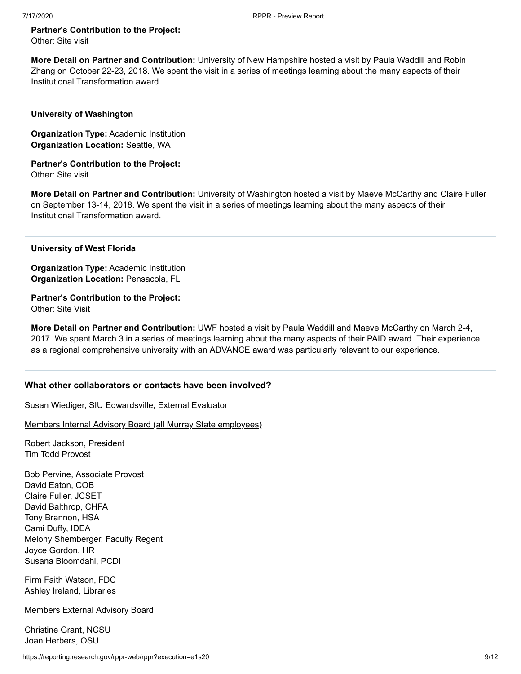# **Partner's Contribution to the Project:**

Other: Site visit

**More Detail on Partner and Contribution:** University of New Hampshire hosted a visit by Paula Waddill and Robin Zhang on October 22-23, 2018. We spent the visit in a series of meetings learning about the many aspects of their Institutional Transformation award.

### <span id="page-8-0"></span>**University of Washington**

**Organization Type:** Academic Institution **Organization Location:** Seattle, WA

**Partner's Contribution to the Project:** Other: Site visit

**More Detail on Partner and Contribution:** University of Washington hosted a visit by Maeve McCarthy and Claire Fuller on September 13-14, 2018. We spent the visit in a series of meetings learning about the many aspects of their Institutional Transformation award.

<span id="page-8-1"></span>**University of West Florida**

**Organization Type:** Academic Institution **Organization Location:** Pensacola, FL

**Partner's Contribution to the Project:** Other: Site Visit

**More Detail on Partner and Contribution:** UWF hosted a visit by Paula Waddill and Maeve McCarthy on March 2-4, 2017. We spent March 3 in a series of meetings learning about the many aspects of their PAID award. Their experience as a regional comprehensive university with an ADVANCE award was particularly relevant to our experience.

# **What other collaborators or contacts have been involved?**

Susan Wiediger, SIU Edwardsville, External Evaluator

Members Internal Advisory Board (all Murray State employees)

Robert Jackson, President Tim Todd Provost

Bob Pervine, Associate Provost David Eaton, COB Claire Fuller, JCSET David Balthrop, CHFA Tony Brannon, HSA Cami Duffy, IDEA Melony Shemberger, Faculty Regent Joyce Gordon, HR Susana Bloomdahl, PCDI

Firm Faith Watson, FDC Ashley Ireland, Libraries

Members External Advisory Board

Christine Grant, NCSU Joan Herbers, OSU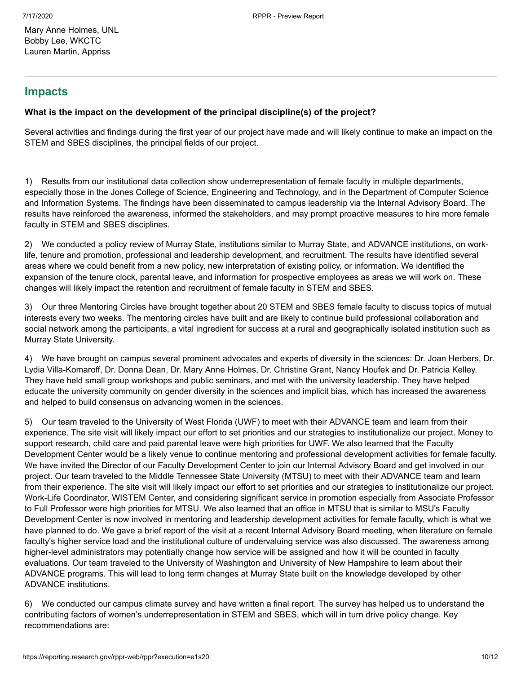# <span id="page-9-0"></span>**Impacts**

# **What is the impact on the development of the principal discipline(s) of the project?**

Several activities and findings during the first year of our project have made and will likely continue to make an impact on the STEM and SBES disciplines, the principal fields of our project.

1) Results from our institutional data collection show underrepresentation of female faculty in multiple departments, especially those in the Jones College of Science, Engineering and Technology, and in the Department of Computer Science and Information Systems. The findings have been disseminated to campus leadership via the Internal Advisory Board. The results have reinforced the awareness, informed the stakeholders, and may prompt proactive measures to hire more female faculty in STEM and SBES disciplines.

2) We conducted a policy review of Murray State, institutions similar to Murray State, and ADVANCE institutions, on worklife, tenure and promotion, professional and leadership development, and recruitment. The results have identified several areas where we could benefit from a new policy, new interpretation of existing policy, or information. We identified the expansion of the tenure clock, parental leave, and information for prospective employees as areas we will work on. These changes will likely impact the retention and recruitment of female faculty in STEM and SBES.

3) Our three Mentoring Circles have brought together about 20 STEM and SBES female faculty to discuss topics of mutual interests every two weeks. The mentoring circles have built and are likely to continue build professional collaboration and social network among the participants, a vital ingredient for success at a rural and geographically isolated institution such as Murray State University.

4) We have brought on campus several prominent advocates and experts of diversity in the sciences: Dr. Joan Herbers, Dr. Lydia Villa-Komaroff, Dr. Donna Dean, Dr. Mary Anne Holmes, Dr. Christine Grant, Nancy Houfek and Dr. Patricia Kelley. They have held small group workshops and public seminars, and met with the university leadership. They have helped educate the university community on gender diversity in the sciences and implicit bias, which has increased the awareness and helped to build consensus on advancing women in the sciences.

5) Our team traveled to the University of West Florida (UWF) to meet with their ADVANCE team and learn from their experience. The site visit will likely impact our effort to set priorities and our strategies to institutionalize our project. Money to support research, child care and paid parental leave were high priorities for UWF. We also learned that the Faculty Development Center would be a likely venue to continue mentoring and professional development activities for female faculty. We have invited the Director of our Faculty Development Center to join our Internal Advisory Board and get involved in our project. Our team traveled to the Middle Tennessee State University (MTSU) to meet with their ADVANCE team and learn from their experience. The site visit will likely impact our effort to set priorities and our strategies to institutionalize our project. Work-Life Coordinator, WISTEM Center, and considering significant service in promotion especially from Associate Professor to Full Professor were high priorities for MTSU. We also learned that an office in MTSU that is similar to MSU's Faculty Development Center is now involved in mentoring and leadership development activities for female faculty, which is what we have planned to do. We gave a brief report of the visit at a recent Internal Advisory Board meeting, when literature on female faculty's higher service load and the institutional culture of undervaluing service was also discussed. The awareness among higher-level administrators may potentially change how service will be assigned and how it will be counted in faculty evaluations. Our team traveled to the University of Washington and University of New Hampshire to learn about their ADVANCE programs. This will lead to long term changes at Murray State built on the knowledge developed by other ADVANCE institutions.

6) We conducted our campus climate survey and have written a final report. The survey has helped us to understand the contributing factors of women's underrepresentation in STEM and SBES, which will in turn drive policy change. Key recommendations are: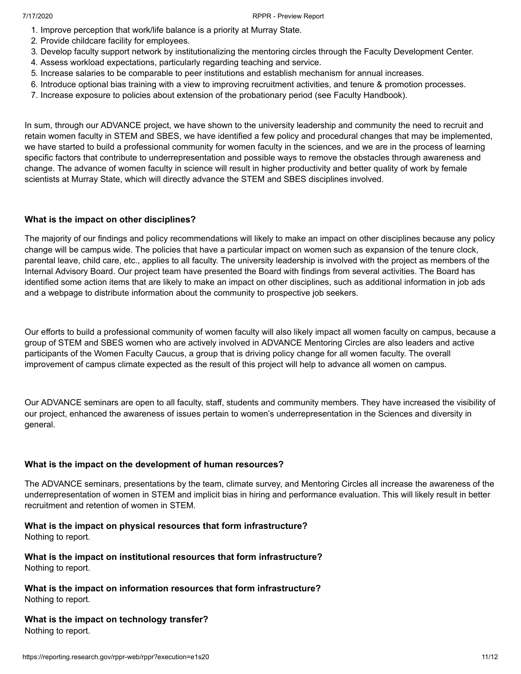- 1. Improve perception that work/life balance is a priority at Murray State.
- 2. Provide childcare facility for employees.
- 3. Develop faculty support network by institutionalizing the mentoring circles through the Faculty Development Center.
- 4. Assess workload expectations, particularly regarding teaching and service.
- 5. Increase salaries to be comparable to peer institutions and establish mechanism for annual increases.
- 6. Introduce optional bias training with a view to improving recruitment activities, and tenure & promotion processes.
- 7. Increase exposure to policies about extension of the probationary period (see Faculty Handbook).

In sum, through our ADVANCE project, we have shown to the university leadership and community the need to recruit and retain women faculty in STEM and SBES, we have identified a few policy and procedural changes that may be implemented, we have started to build a professional community for women faculty in the sciences, and we are in the process of learning specific factors that contribute to underrepresentation and possible ways to remove the obstacles through awareness and change. The advance of women faculty in science will result in higher productivity and better quality of work by female scientists at Murray State, which will directly advance the STEM and SBES disciplines involved.

# **What is the impact on other disciplines?**

The majority of our findings and policy recommendations will likely to make an impact on other disciplines because any policy change will be campus wide. The policies that have a particular impact on women such as expansion of the tenure clock, parental leave, child care, etc., applies to all faculty. The university leadership is involved with the project as members of the Internal Advisory Board. Our project team have presented the Board with findings from several activities. The Board has identified some action items that are likely to make an impact on other disciplines, such as additional information in job ads and a webpage to distribute information about the community to prospective job seekers.

Our efforts to build a professional community of women faculty will also likely impact all women faculty on campus, because a group of STEM and SBES women who are actively involved in ADVANCE Mentoring Circles are also leaders and active participants of the Women Faculty Caucus, a group that is driving policy change for all women faculty. The overall improvement of campus climate expected as the result of this project will help to advance all women on campus.

Our ADVANCE seminars are open to all faculty, staff, students and community members. They have increased the visibility of our project, enhanced the awareness of issues pertain to women's underrepresentation in the Sciences and diversity in general.

# **What is the impact on the development of human resources?**

The ADVANCE seminars, presentations by the team, climate survey, and Mentoring Circles all increase the awareness of the underrepresentation of women in STEM and implicit bias in hiring and performance evaluation. This will likely result in better recruitment and retention of women in STEM.

# **What is the impact on physical resources that form infrastructure?**

Nothing to report.

**What is the impact on institutional resources that form infrastructure?** Nothing to report.

**What is the impact on information resources that form infrastructure?** Nothing to report.

# **What is the impact on technology transfer?**

Nothing to report.